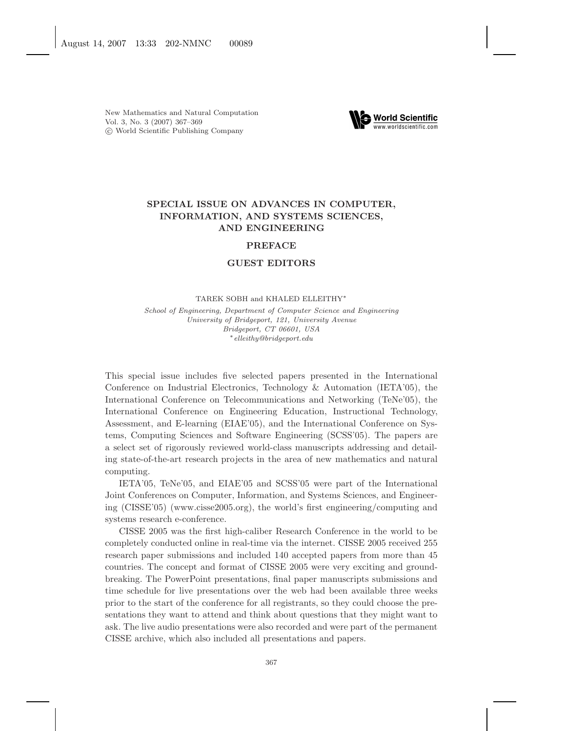New Mathematics and Natural Computation Vol. 3, No. 3 (2007) 367–369 c World Scientific Publishing Company



## **SPECIAL ISSUE ON ADVANCES IN COMPUTER, INFORMATION, AND SYSTEMS SCIENCES, AND ENGINEERING**

## **PREFACE**

## **GUEST EDITORS**

TAREK SOBH and KHALED ELLEITHY∗

*School of Engineering, Department of Computer Science and Engineering University of Bridgeport, 121, University Avenue Bridgeport, CT 06601, USA* ∗*elleithy@bridgeport.edu*

This special issue includes five selected papers presented in the International Conference on Industrial Electronics, Technology & Automation (IETA'05), the International Conference on Telecommunications and Networking (TeNe'05), the International Conference on Engineering Education, Instructional Technology, Assessment, and E-learning (EIAE'05), and the International Conference on Systems, Computing Sciences and Software Engineering (SCSS'05). The papers are a select set of rigorously reviewed world-class manuscripts addressing and detailing state-of-the-art research projects in the area of new mathematics and natural computing.

IETA'05, TeNe'05, and EIAE'05 and SCSS'05 were part of the International Joint Conferences on Computer, Information, and Systems Sciences, and Engineering (CISSE'05) (www.cisse2005.org), the world's first engineering/computing and systems research e-conference.

CISSE 2005 was the first high-caliber Research Conference in the world to be completely conducted online in real-time via the internet. CISSE 2005 received 255 research paper submissions and included 140 accepted papers from more than 45 countries. The concept and format of CISSE 2005 were very exciting and groundbreaking. The PowerPoint presentations, final paper manuscripts submissions and time schedule for live presentations over the web had been available three weeks prior to the start of the conference for all registrants, so they could choose the presentations they want to attend and think about questions that they might want to ask. The live audio presentations were also recorded and were part of the permanent CISSE archive, which also included all presentations and papers.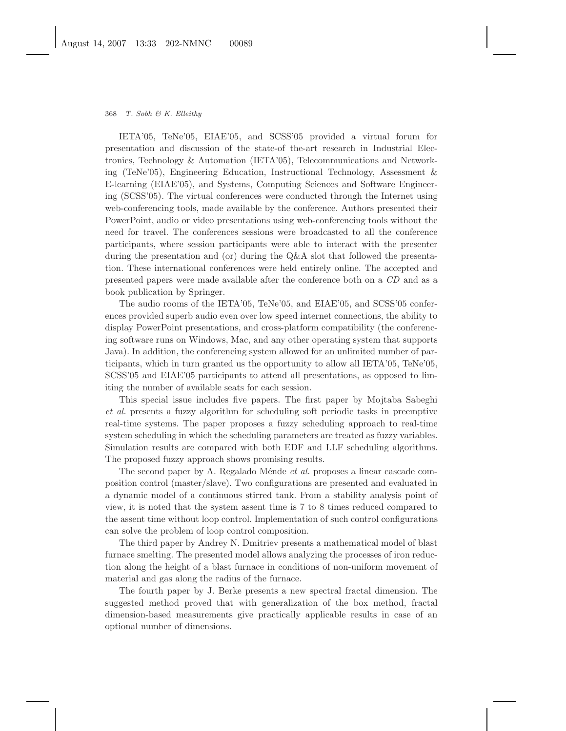## 368 *T. Sobh & K. Elleithy*

IETA'05, TeNe'05, EIAE'05, and SCSS'05 provided a virtual forum for presentation and discussion of the state-of the-art research in Industrial Electronics, Technology & Automation (IETA'05), Telecommunications and Networking (TeNe'05), Engineering Education, Instructional Technology, Assessment & E-learning (EIAE'05), and Systems, Computing Sciences and Software Engineering (SCSS'05). The virtual conferences were conducted through the Internet using web-conferencing tools, made available by the conference. Authors presented their PowerPoint, audio or video presentations using web-conferencing tools without the need for travel. The conferences sessions were broadcasted to all the conference participants, where session participants were able to interact with the presenter during the presentation and (or) during the Q&A slot that followed the presentation. These international conferences were held entirely online. The accepted and presented papers were made available after the conference both on a *CD* and as a book publication by Springer.

The audio rooms of the IETA'05, TeNe'05, and EIAE'05, and SCSS'05 conferences provided superb audio even over low speed internet connections, the ability to display PowerPoint presentations, and cross-platform compatibility (the conferencing software runs on Windows, Mac, and any other operating system that supports Java). In addition, the conferencing system allowed for an unlimited number of participants, which in turn granted us the opportunity to allow all IETA'05, TeNe'05, SCSS'05 and EIAE'05 participants to attend all presentations, as opposed to limiting the number of available seats for each session.

This special issue includes five papers. The first paper by Mojtaba Sabeghi *et al.* presents a fuzzy algorithm for scheduling soft periodic tasks in preemptive real-time systems. The paper proposes a fuzzy scheduling approach to real-time system scheduling in which the scheduling parameters are treated as fuzzy variables. Simulation results are compared with both EDF and LLF scheduling algorithms. The proposed fuzzy approach shows promising results.

The second paper by A. Regalado Ménde *et al.* proposes a linear cascade composition control (master/slave). Two configurations are presented and evaluated in a dynamic model of a continuous stirred tank. From a stability analysis point of view, it is noted that the system assent time is 7 to 8 times reduced compared to the assent time without loop control. Implementation of such control configurations can solve the problem of loop control composition.

The third paper by Andrey N. Dmitriev presents a mathematical model of blast furnace smelting. The presented model allows analyzing the processes of iron reduction along the height of a blast furnace in conditions of non-uniform movement of material and gas along the radius of the furnace.

The fourth paper by J. Berke presents a new spectral fractal dimension. The suggested method proved that with generalization of the box method, fractal dimension-based measurements give practically applicable results in case of an optional number of dimensions.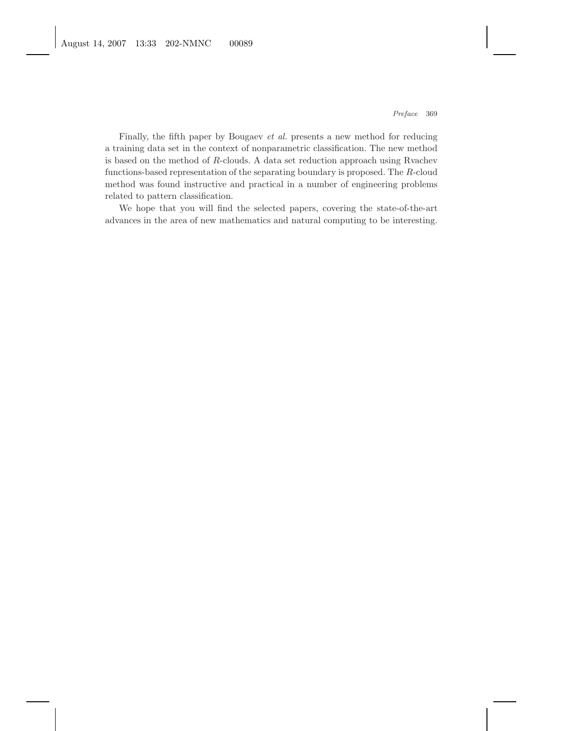Finally, the fifth paper by Bougaev *et al.* presents a new method for reducing a training data set in the context of nonparametric classification. The new method is based on the method of *R*-clouds. A data set reduction approach using Rvachev functions-based representation of the separating boundary is proposed. The *R*-cloud method was found instructive and practical in a number of engineering problems related to pattern classification.

We hope that you will find the selected papers, covering the state-of-the-art advances in the area of new mathematics and natural computing to be interesting.